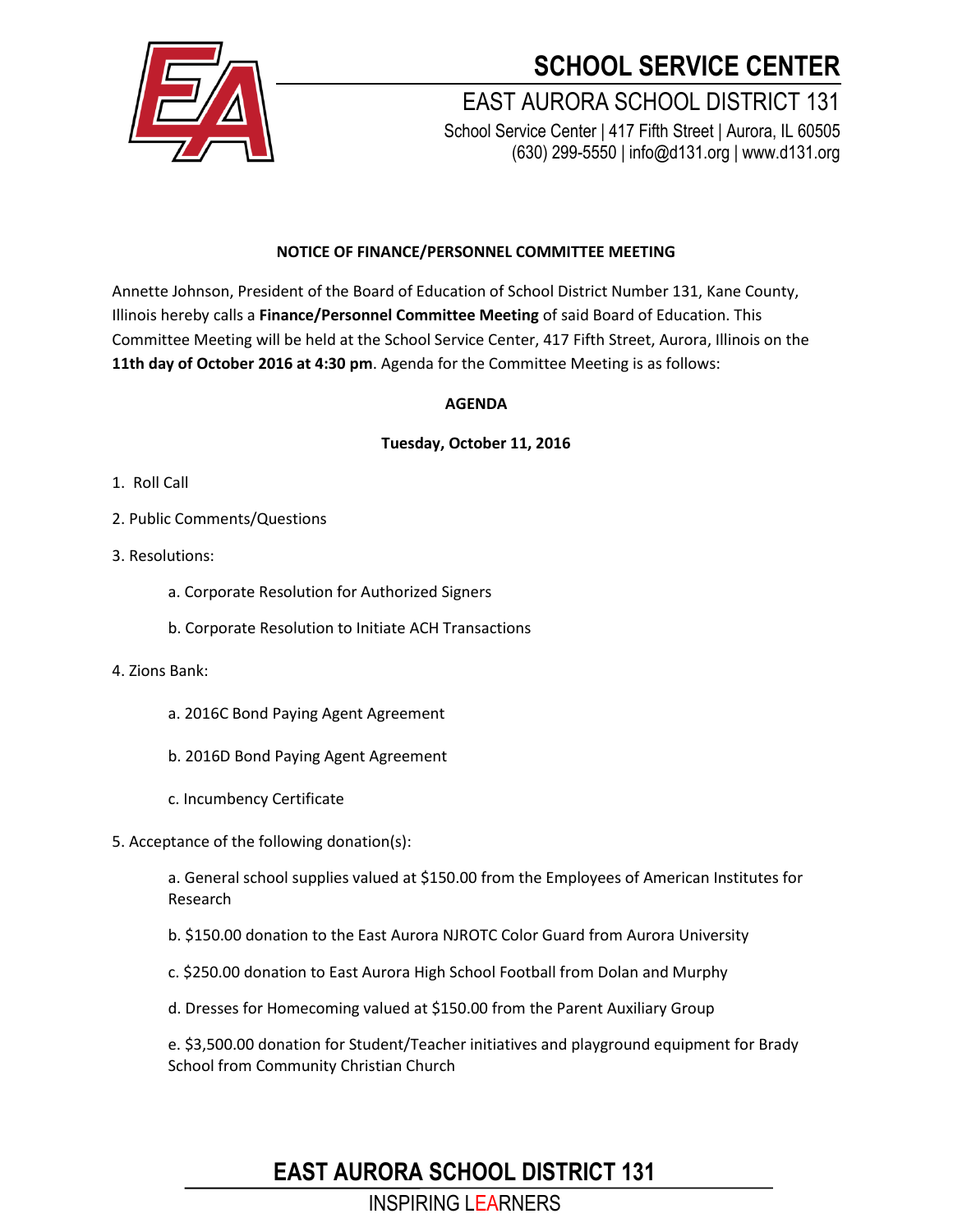

# **SCHOOL SERVICE CENTER**

### EAST AURORA SCHOOL DISTRICT 131 School Service Center | 417 Fifth Street | Aurora, IL 60505 (630) 299-5550 | info@d131.org | www.d131.org

### **NOTICE OF FINANCE/PERSONNEL COMMITTEE MEETING**

Annette Johnson, President of the Board of Education of School District Number 131, Kane County, Illinois hereby calls a **Finance/Personnel Committee Meeting** of said Board of Education. This Committee Meeting will be held at the School Service Center, 417 Fifth Street, Aurora, Illinois on the **11th day of October 2016 at 4:30 pm**. Agenda for the Committee Meeting is as follows:

#### **AGENDA**

#### **Tuesday, October 11, 2016**

- 1. Roll Call
- 2. Public Comments/Questions
- 3. Resolutions:
	- a. Corporate Resolution for Authorized Signers
	- b. Corporate Resolution to Initiate ACH Transactions
- 4. Zions Bank:
	- a. 2016C Bond Paying Agent Agreement
	- b. 2016D Bond Paying Agent Agreement
	- c. Incumbency Certificate
- 5. Acceptance of the following donation(s):

a. General school supplies valued at \$150.00 from the Employees of American Institutes for Research

- b. \$150.00 donation to the East Aurora NJROTC Color Guard from Aurora University
- c. \$250.00 donation to East Aurora High School Football from Dolan and Murphy
- d. Dresses for Homecoming valued at \$150.00 from the Parent Auxiliary Group

e. \$3,500.00 donation for Student/Teacher initiatives and playground equipment for Brady School from Community Christian Church

### **EAST AURORA SCHOOL DISTRICT 131**

INSPIRING LEARNERS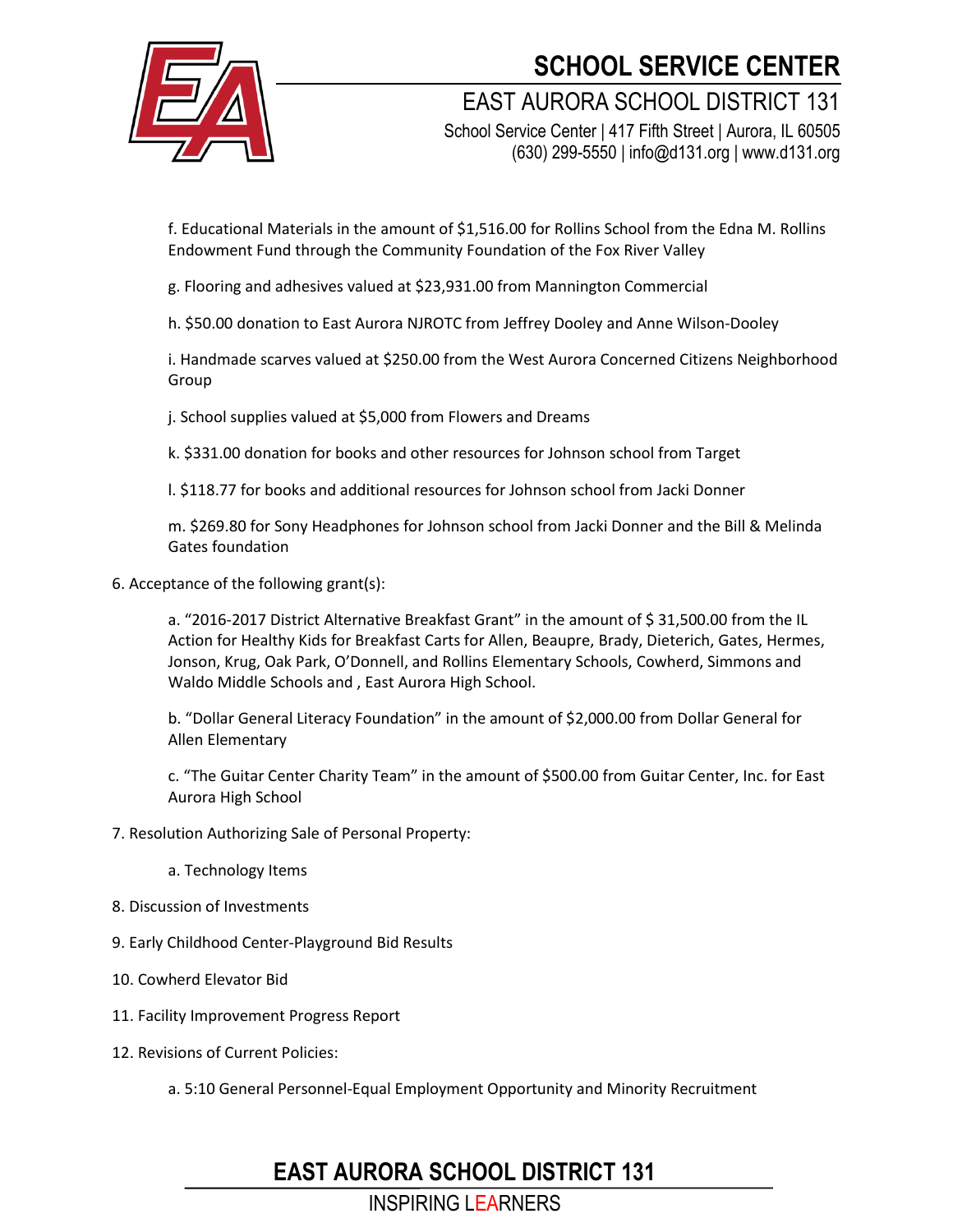

## **SCHOOL SERVICE CENTER**

EAST AURORA SCHOOL DISTRICT 131

School Service Center | 417 Fifth Street | Aurora, IL 60505 (630) 299-5550 | info@d131.org | www.d131.org

f. Educational Materials in the amount of \$1,516.00 for Rollins School from the Edna M. Rollins Endowment Fund through the Community Foundation of the Fox River Valley

g. Flooring and adhesives valued at \$23,931.00 from Mannington Commercial

h. \$50.00 donation to East Aurora NJROTC from Jeffrey Dooley and Anne Wilson-Dooley

i. Handmade scarves valued at \$250.00 from the West Aurora Concerned Citizens Neighborhood Group

j. School supplies valued at \$5,000 from Flowers and Dreams

k. \$331.00 donation for books and other resources for Johnson school from Target

l. \$118.77 for books and additional resources for Johnson school from Jacki Donner

m. \$269.80 for Sony Headphones for Johnson school from Jacki Donner and the Bill & Melinda Gates foundation

6. Acceptance of the following grant(s):

a. "2016-2017 District Alternative Breakfast Grant" in the amount of \$31,500.00 from the IL Action for Healthy Kids for Breakfast Carts for Allen, Beaupre, Brady, Dieterich, Gates, Hermes, Jonson, Krug, Oak Park, O'Donnell, and Rollins Elementary Schools, Cowherd, Simmons and Waldo Middle Schools and , East Aurora High School.

b. "Dollar General Literacy Foundation" in the amount of \$2,000.00 from Dollar General for Allen Elementary

c. "The Guitar Center Charity Team" in the amount of \$500.00 from Guitar Center, Inc. for East Aurora High School

### 7. Resolution Authorizing Sale of Personal Property:

- a. Technology Items
- 8. Discussion of Investments
- 9. Early Childhood Center-Playground Bid Results
- 10. Cowherd Elevator Bid
- 11. Facility Improvement Progress Report
- 12. Revisions of Current Policies:
	- a. 5:10 General Personnel-Equal Employment Opportunity and Minority Recruitment

## **EAST AURORA SCHOOL DISTRICT 131**

INSPIRING LEARNERS